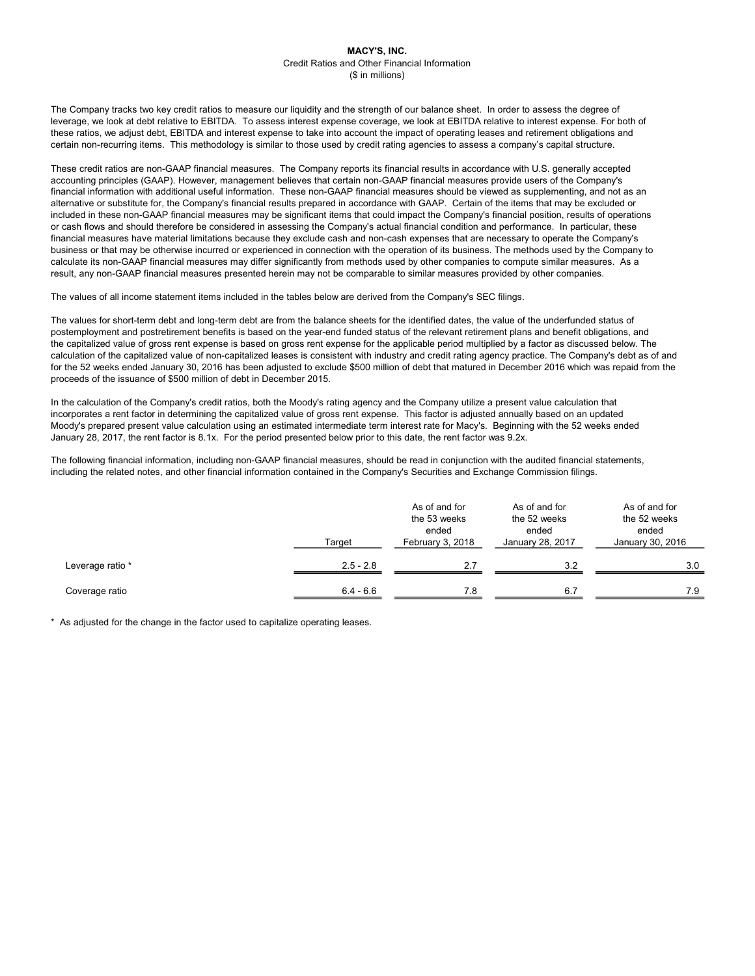The Company tracks two key credit ratios to measure our liquidity and the strength of our balance sheet. In order to assess the degree of leverage, we look at debt relative to EBITDA. To assess interest expense coverage, we look at EBITDA relative to interest expense. For both of these ratios, we adjust debt, EBITDA and interest expense to take into account the impact of operating leases and retirement obligations and certain non-recurring items. This methodology is similar to those used by credit rating agencies to assess a company's capital structure.

These credit ratios are non-GAAP financial measures. The Company reports its financial results in accordance with U.S. generally accepted accounting principles (GAAP). However, management believes that certain non-GAAP financial measures provide users of the Company's financial information with additional useful information. These non-GAAP financial measures should be viewed as supplementing, and not as an alternative or substitute for, the Company's financial results prepared in accordance with GAAP. Certain of the items that may be excluded or included in these non-GAAP financial measures may be significant items that could impact the Company's financial position, results of operations or cash flows and should therefore be considered in assessing the Company's actual financial condition and performance. In particular, these financial measures have material limitations because they exclude cash and non-cash expenses that are necessary to operate the Company's business or that may be otherwise incurred or experienced in connection with the operation of its business. The methods used by the Company to calculate its non-GAAP financial measures may differ significantly from methods used by other companies to compute similar measures. As a result, any non-GAAP financial measures presented herein may not be comparable to similar measures provided by other companies.

The values of all income statement items included in the tables below are derived from the Company's SEC filings.

The values for short-term debt and long-term debt are from the balance sheets for the identified dates, the value of the underfunded status of postemployment and postretirement benefits is based on the year-end funded status of the relevant retirement plans and benefit obligations, and the capitalized value of gross rent expense is based on gross rent expense for the applicable period multiplied by a factor as discussed below. The calculation of the capitalized value of non-capitalized leases is consistent with industry and credit rating agency practice. The Company's debt as of and for the 52 weeks ended January 30, 2016 has been adjusted to exclude \$500 million of debt that matured in December 2016 which was repaid from the proceeds of the issuance of \$500 million of debt in December 2015.

In the calculation of the Company's credit ratios, both the Moody's rating agency and the Company utilize a present value calculation that incorporates a rent factor in determining the capitalized value of gross rent expense. This factor is adjusted annually based on an updated Moody's prepared present value calculation using an estimated intermediate term interest rate for Macy's. Beginning with the 52 weeks ended January 28, 2017, the rent factor is 8.1x. For the period presented below prior to this date, the rent factor was 9.2x.

The following financial information, including non-GAAP financial measures, should be read in conjunction with the audited financial statements, including the related notes, and other financial information contained in the Company's Securities and Exchange Commission filings.

|                  | Target      | As of and for<br>the 53 weeks<br>ended<br>February 3, 2018 | As of and for<br>the 52 weeks<br>ended<br>January 28, 2017 | As of and for<br>the 52 weeks<br>ended<br>January 30, 2016 |
|------------------|-------------|------------------------------------------------------------|------------------------------------------------------------|------------------------------------------------------------|
| Leverage ratio * | $2.5 - 2.8$ | 2.7                                                        | 3.2                                                        | 3.0                                                        |
| Coverage ratio   | $6.4 - 6.6$ | 7.8                                                        | 6.7                                                        | 7.9                                                        |

\* As adjusted for the change in the factor used to capitalize operating leases.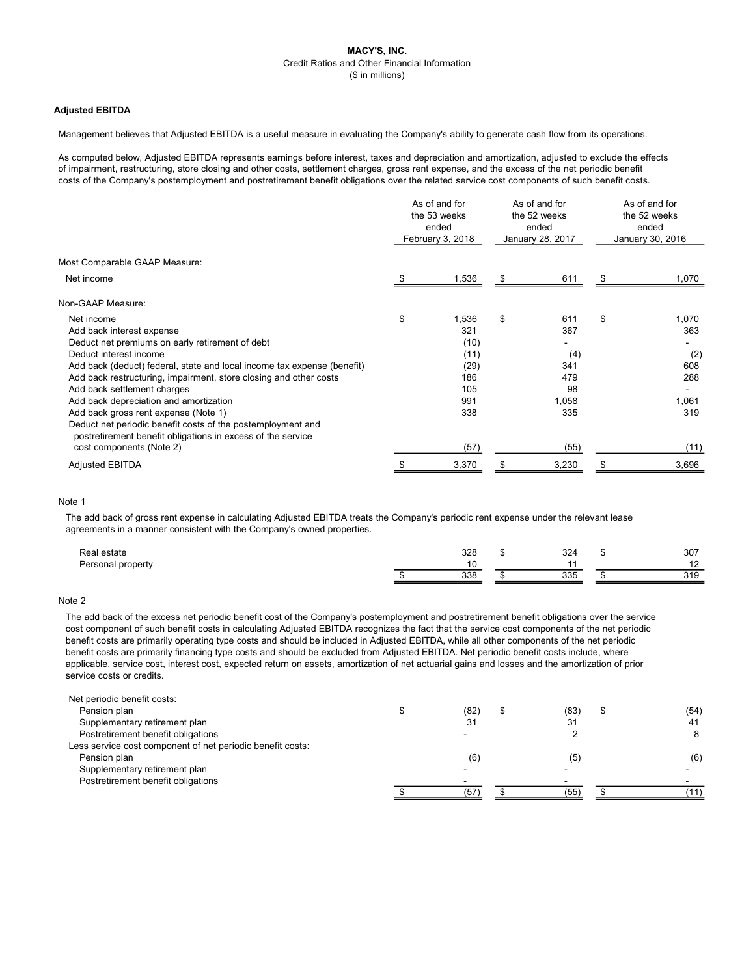## Adjusted EBITDA

Management believes that Adjusted EBITDA is a useful measure in evaluating the Company's ability to generate cash flow from its operations.

As computed below, Adjusted EBITDA represents earnings before interest, taxes and depreciation and amortization, adjusted to exclude the effects of impairment, restructuring, store closing and other costs, settlement charges, gross rent expense, and the excess of the net periodic benefit costs of the Company's postemployment and postretirement benefit obligations over the related service cost components of such benefit costs.

| Most Comparable GAAP Measure:<br>1,536<br>611<br>Net income<br>\$<br>S<br>Non-GAAP Measure:<br>\$<br>\$<br>Net income<br>1,536<br>611<br>\$<br>321<br>Add back interest expense<br>367<br>(10)<br>Deduct net premiums on early retirement of debt<br>Deduct interest income<br>(11)<br>(4)<br>Add back (deduct) federal, state and local income tax expense (benefit)<br>(29)<br>341<br>Add back restructuring, impairment, store closing and other costs<br>186<br>479<br>Add back settlement charges<br>105<br>98<br>991<br>Add back depreciation and amortization<br>1,058<br>Add back gross rent expense (Note 1)<br>338<br>335<br>Deduct net periodic benefit costs of the postemployment and<br>postretirement benefit obligations in excess of the service<br>cost components (Note 2)<br>(57)<br>(55)<br>3,230<br>3,370<br><b>Adjusted EBITDA</b> | As of and for<br>the 53 weeks<br>ended<br>February 3, 2018 |  | As of and for<br>the 52 weeks<br>ended<br>January 28, 2017 |  | As of and for<br>the 52 weeks<br>ended<br>January 30, 2016 |       |
|-----------------------------------------------------------------------------------------------------------------------------------------------------------------------------------------------------------------------------------------------------------------------------------------------------------------------------------------------------------------------------------------------------------------------------------------------------------------------------------------------------------------------------------------------------------------------------------------------------------------------------------------------------------------------------------------------------------------------------------------------------------------------------------------------------------------------------------------------------------|------------------------------------------------------------|--|------------------------------------------------------------|--|------------------------------------------------------------|-------|
|                                                                                                                                                                                                                                                                                                                                                                                                                                                                                                                                                                                                                                                                                                                                                                                                                                                           |                                                            |  |                                                            |  |                                                            |       |
|                                                                                                                                                                                                                                                                                                                                                                                                                                                                                                                                                                                                                                                                                                                                                                                                                                                           |                                                            |  |                                                            |  |                                                            | 1,070 |
|                                                                                                                                                                                                                                                                                                                                                                                                                                                                                                                                                                                                                                                                                                                                                                                                                                                           |                                                            |  |                                                            |  |                                                            |       |
|                                                                                                                                                                                                                                                                                                                                                                                                                                                                                                                                                                                                                                                                                                                                                                                                                                                           |                                                            |  |                                                            |  |                                                            | 1,070 |
|                                                                                                                                                                                                                                                                                                                                                                                                                                                                                                                                                                                                                                                                                                                                                                                                                                                           |                                                            |  |                                                            |  |                                                            | 363   |
|                                                                                                                                                                                                                                                                                                                                                                                                                                                                                                                                                                                                                                                                                                                                                                                                                                                           |                                                            |  |                                                            |  |                                                            |       |
|                                                                                                                                                                                                                                                                                                                                                                                                                                                                                                                                                                                                                                                                                                                                                                                                                                                           |                                                            |  |                                                            |  |                                                            | (2)   |
|                                                                                                                                                                                                                                                                                                                                                                                                                                                                                                                                                                                                                                                                                                                                                                                                                                                           |                                                            |  |                                                            |  |                                                            | 608   |
|                                                                                                                                                                                                                                                                                                                                                                                                                                                                                                                                                                                                                                                                                                                                                                                                                                                           |                                                            |  |                                                            |  |                                                            | 288   |
|                                                                                                                                                                                                                                                                                                                                                                                                                                                                                                                                                                                                                                                                                                                                                                                                                                                           |                                                            |  |                                                            |  |                                                            |       |
|                                                                                                                                                                                                                                                                                                                                                                                                                                                                                                                                                                                                                                                                                                                                                                                                                                                           |                                                            |  |                                                            |  |                                                            | 1,061 |
|                                                                                                                                                                                                                                                                                                                                                                                                                                                                                                                                                                                                                                                                                                                                                                                                                                                           |                                                            |  |                                                            |  |                                                            | 319   |
|                                                                                                                                                                                                                                                                                                                                                                                                                                                                                                                                                                                                                                                                                                                                                                                                                                                           |                                                            |  |                                                            |  |                                                            |       |
|                                                                                                                                                                                                                                                                                                                                                                                                                                                                                                                                                                                                                                                                                                                                                                                                                                                           |                                                            |  |                                                            |  |                                                            | (11)  |
|                                                                                                                                                                                                                                                                                                                                                                                                                                                                                                                                                                                                                                                                                                                                                                                                                                                           |                                                            |  |                                                            |  |                                                            | 3,696 |

# Note 1

The add back of gross rent expense in calculating Adjusted EBITDA treats the Company's periodic rent expense under the relevant lease agreements in a manner consistent with the Company's owned properties.

| Real estate       | 200<br>ບ∠ບ | 324        | м. | 307          |
|-------------------|------------|------------|----|--------------|
| Personal property |            |            |    | . <u>.</u>   |
|                   | 338<br>∪∪ເ | ふっぱ<br>ບບບ |    | 240<br>ن ا ب |

# Note 2

The add back of the excess net periodic benefit cost of the Company's postemployment and postretirement benefit obligations over the service cost component of such benefit costs in calculating Adjusted EBITDA recognizes the fact that the service cost components of the net periodic benefit costs are primarily operating type costs and should be included in Adjusted EBITDA, while all other components of the net periodic benefit costs are primarily financing type costs and should be excluded from Adjusted EBITDA. Net periodic benefit costs include, where applicable, service cost, interest cost, expected return on assets, amortization of net actuarial gains and losses and the amortization of prior service costs or credits.

| Net periodic benefit costs:                                |      |      |      |
|------------------------------------------------------------|------|------|------|
| Pension plan                                               | (82) | (83) | (54) |
| Supplementary retirement plan                              | 31   | 31   | 41   |
| Postretirement benefit obligations                         |      |      |      |
| Less service cost component of net periodic benefit costs: |      |      |      |
| Pension plan                                               | (6)  | (5)  | (6)  |
| Supplementary retirement plan                              |      |      |      |
| Postretirement benefit obligations                         |      |      |      |
|                                                            | (57  | (55) |      |
|                                                            |      |      |      |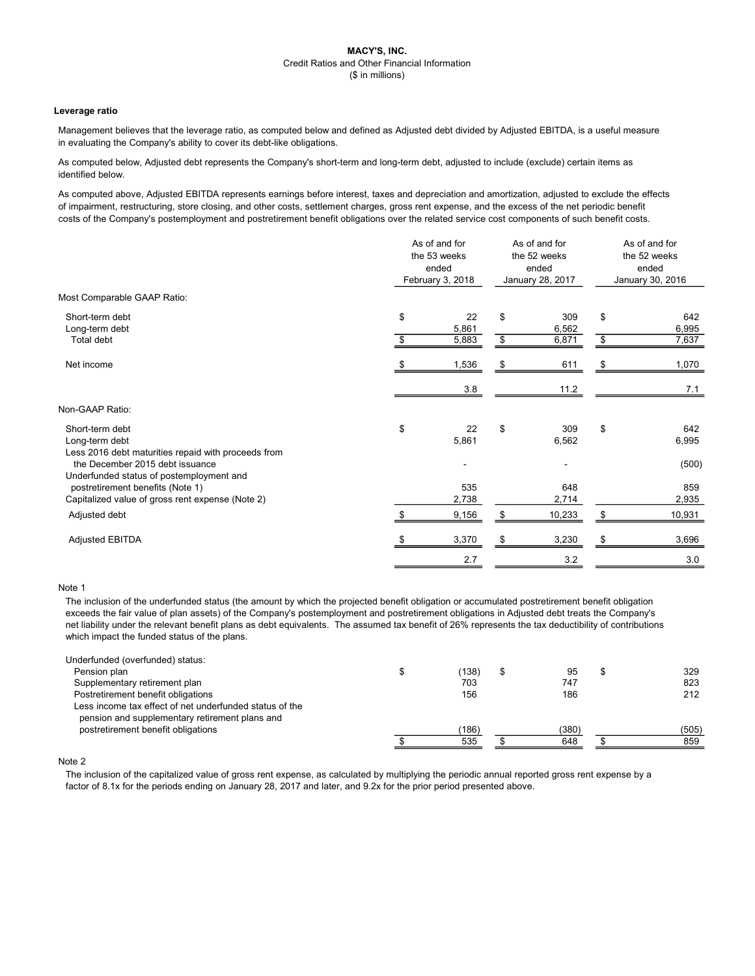#### Leverage ratio

Management believes that the leverage ratio, as computed below and defined as Adjusted debt divided by Adjusted EBITDA, is a useful measure in evaluating the Company's ability to cover its debt-like obligations.

As computed below, Adjusted debt represents the Company's short-term and long-term debt, adjusted to include (exclude) certain items as identified below.

As computed above, Adjusted EBITDA represents earnings before interest, taxes and depreciation and amortization, adjusted to exclude the effects of impairment, restructuring, store closing, and other costs, settlement charges, gross rent expense, and the excess of the net periodic benefit costs of the Company's postemployment and postretirement benefit obligations over the related service cost components of such benefit costs.

|                                                                                                                                                                     | As of and for<br>the 53 weeks<br>ended<br>February 3, 2018 |                      | As of and for<br>the 52 weeks<br>ended<br>January 28, 2017 |                       | As of and for<br>the 52 weeks<br>ended<br>January 30, 2016 |                       |
|---------------------------------------------------------------------------------------------------------------------------------------------------------------------|------------------------------------------------------------|----------------------|------------------------------------------------------------|-----------------------|------------------------------------------------------------|-----------------------|
| Most Comparable GAAP Ratio:                                                                                                                                         |                                                            |                      |                                                            |                       |                                                            |                       |
| Short-term debt<br>Long-term debt<br>Total debt                                                                                                                     | \$<br>\$                                                   | 22<br>5,861<br>5,883 | \$<br>\$                                                   | 309<br>6,562<br>6,871 | \$<br>\$                                                   | 642<br>6,995<br>7,637 |
| Net income                                                                                                                                                          | \$                                                         | 1,536                | \$                                                         | 611                   | \$                                                         | 1,070                 |
|                                                                                                                                                                     |                                                            | 3.8                  |                                                            | 11.2                  |                                                            | 7.1                   |
| Non-GAAP Ratio:                                                                                                                                                     |                                                            |                      |                                                            |                       |                                                            |                       |
| Short-term debt<br>Long-term debt<br>Less 2016 debt maturities repaid with proceeds from                                                                            | \$                                                         | 22<br>5,861          | \$                                                         | 309<br>6,562          | \$                                                         | 642<br>6,995          |
| the December 2015 debt issuance<br>Underfunded status of postemployment and<br>postretirement benefits (Note 1)<br>Capitalized value of gross rent expense (Note 2) |                                                            | 535<br>2,738         |                                                            | 648<br>2,714          |                                                            | (500)<br>859<br>2,935 |
| Adjusted debt                                                                                                                                                       |                                                            | 9,156                |                                                            | 10,233                |                                                            | 10,931                |
| <b>Adjusted EBITDA</b>                                                                                                                                              |                                                            | 3,370                | \$                                                         | 3,230                 | \$                                                         | 3,696                 |
|                                                                                                                                                                     |                                                            | 2.7                  |                                                            | 3.2                   |                                                            | 3.0                   |

#### Note 1

The inclusion of the underfunded status (the amount by which the projected benefit obligation or accumulated postretirement benefit obligation exceeds the fair value of plan assets) of the Company's postemployment and postretirement obligations in Adjusted debt treats the Company's net liability under the relevant benefit plans as debt equivalents. The assumed tax benefit of 26% represents the tax deductibility of contributions which impact the funded status of the plans.

| Underfunded (overfunded) status:                        |       |       |       |
|---------------------------------------------------------|-------|-------|-------|
| Pension plan                                            | (138) | 95    | 329   |
| Supplementary retirement plan                           | 703   | 747   | 823   |
| Postretirement benefit obligations                      | 156   | 186   | 212   |
| Less income tax effect of net underfunded status of the |       |       |       |
| pension and supplementary retirement plans and          |       |       |       |
| postretirement benefit obligations                      | (186) | (380) | (505) |
|                                                         | 535   | 648   | 859   |

## Note 2

The inclusion of the capitalized value of gross rent expense, as calculated by multiplying the periodic annual reported gross rent expense by a factor of 8.1x for the periods ending on January 28, 2017 and later, and 9.2x for the prior period presented above.